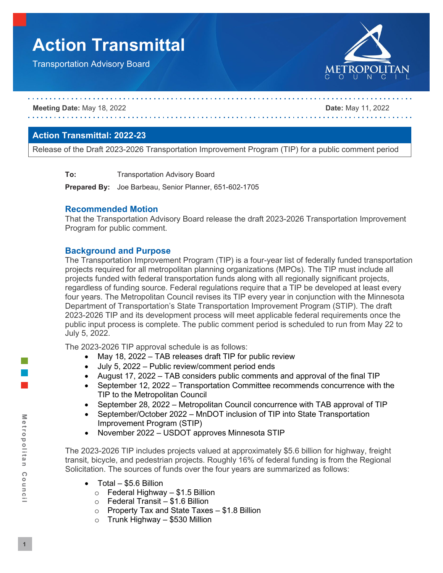# **Action Transmittal**

Transportation Advisory Board



#### **Meeting Date:** May 18, 2022 **Date:** May 11, 2022

#### **Action Transmittal: 2022-23**

Release of the Draft 2023-2026 Transportation Improvement Program (TIP) for a public comment period

**To:** Transportation Advisory Board

**Prepared By:** Joe Barbeau, Senior Planner, 651-602-1705

#### **Recommended Motion**

That the Transportation Advisory Board release the draft 2023-2026 Transportation Improvement Program for public comment.

#### **Background and Purpose**

The Transportation Improvement Program (TIP) is a four-year list of federally funded transportation projects required for all metropolitan planning organizations (MPOs). The TIP must include all projects funded with federal transportation funds along with all regionally significant projects, regardless of funding source. Federal regulations require that a TIP be developed at least every four years. The Metropolitan Council revises its TIP every year in conjunction with the Minnesota Department of Transportation's State Transportation Improvement Program (STIP). The draft 2023-2026 TIP and its development process will meet applicable federal requirements once the public input process is complete. The public comment period is scheduled to run from May 22 to July 5, 2022.

The 2023-2026 TIP approval schedule is as follows:

- May 18, 2022 TAB releases draft TIP for public review
- July 5, 2022 Public review/comment period ends
- August 17, 2022 TAB considers public comments and approval of the final TIP
- September 12, 2022 Transportation Committee recommends concurrence with the TIP to the Metropolitan Council
- September 28, 2022 Metropolitan Council concurrence with TAB approval of TIP
- September/October 2022 MnDOT inclusion of TIP into State Transportation Improvement Program (STIP)
- November 2022 USDOT approves Minnesota STIP

The 2023-2026 TIP includes projects valued at approximately \$5.6 billion for highway, freight transit, bicycle, and pedestrian projects. Roughly 16% of federal funding is from the Regional Solicitation. The sources of funds over the four years are summarized as follows:

- Total \$5.6 Billion
	- $\circ$  Federal Highway \$1.5 Billion
	- $\circ$  Federal Transit \$1.6 Billion
	- o Property Tax and State Taxes \$1.8 Billion<br>○ Trunk Highway \$530 Million
	- o Trunk Highway \$530 Million